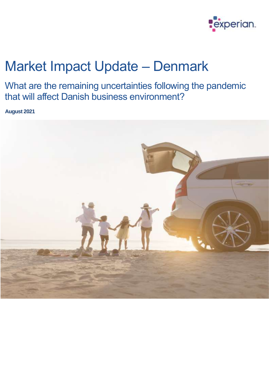

# Market Impact Update – Denmark

What are the remaining uncertainties following the pandemic that will affect Danish business environment?

**August 2021**

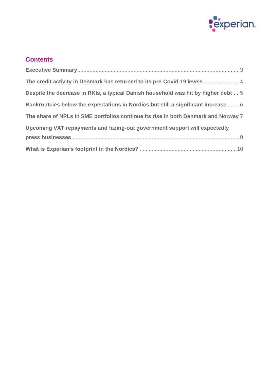

# **Contents**

| The credit activity in Denmark has returned to its pre-Covid-19 levels4            |
|------------------------------------------------------------------------------------|
| Despite the decrease in RKIs, a typical Danish household was hit by higher debt5   |
| Bankruptcies below the expectations in Nordics but still a significant increase    |
| The share of NPLs in SME portfolios continue its rise in both Denmark and Norway 7 |
| Upcoming VAT repayments and fazing-out government support will expectedly          |
|                                                                                    |
|                                                                                    |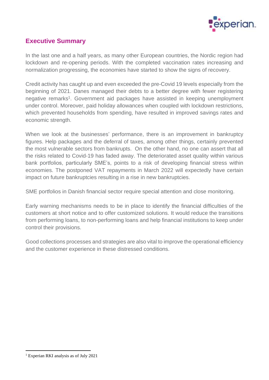

# <span id="page-2-0"></span>**Executive Summary**

In the last one and a half years, as many other European countries, the Nordic region had lockdown and re-opening periods. With the completed vaccination rates increasing and normalization progressing, the economies have started to show the signs of recovery.

Credit activity has caught up and even exceeded the pre-Covid 19 levels especially from the beginning of 2021. Danes managed their debts to a better degree with fewer registering negative remarks<sup>1</sup>. Government aid packages have assisted in keeping unemployment under control. Moreover, paid holiday allowances when coupled with lockdown restrictions, which prevented households from spending, have resulted in improved savings rates and economic strength.

When we look at the businesses' performance, there is an improvement in bankruptcy figures. Help packages and the deferral of taxes, among other things, certainly prevented the most vulnerable sectors from bankrupts. On the other hand, no one can assert that all the risks related to Covid-19 has faded away. The deteriorated asset quality within various bank portfolios, particularly SME's, points to a risk of developing financial stress within economies. The postponed VAT repayments in March 2022 will expectedly have certain impact on future bankruptcies resulting in a rise in new bankruptcies.

SME portfolios in Danish financial sector require special attention and close monitoring.

Early warning mechanisms needs to be in place to identify the financial difficulties of the customers at short notice and to offer customized solutions. It would reduce the transitions from performing loans, to non-performing loans and help financial institutions to keep under control their provisions.

Good collections processes and strategies are also vital to improve the operational efficiency and the customer experience in these distressed conditions.

<sup>1</sup> Experian RKI analysis as of July 2021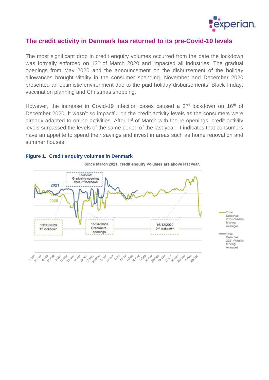

## <span id="page-3-0"></span>**The credit activity in Denmark has returned to its pre-Covid-19 levels**

The most significant drop in credit enquiry volumes occurred from the date the lockdown was formally enforced on 13<sup>th</sup> of March 2020 and impacted all industries. The gradual openings from May 2020 and the announcement on the disbursement of the holiday allowances brought vitality in the consumer spending. November and December 2020 presented an optimistic environment due to the paid holiday disbursements, Black Friday, vaccination planning and Christmas shopping.

However, the increase in Covid-19 infection cases caused a 2<sup>nd</sup> lockdown on 16<sup>th</sup> of December 2020. It wasn't so impactful on the credit activity levels as the consumers were already adapted to online activities. After  $1<sup>st</sup>$  of March with the re-openings, credit activity levels surpassed the levels of the same period of the last year. It indicates that consumers have an appetite to spend their savings and invest in areas such as home renovation and summer houses.



Since March 2021, credit enquiry volumes are above last year.

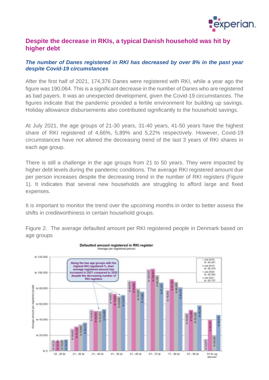

## <span id="page-4-0"></span>**Despite the decrease in RKIs, a typical Danish household was hit by higher debt**

#### *The number of Danes registered in RKI has decreased by over 8% in the past year despite Covid-19 circumstances*

After the first half of 2021, 174,376 Danes were registered with RKI, while a year ago the figure was 190,064. This is a significant decrease in the number of Danes who are registered as bad payers. It was an unexpected development, given the Covid-19 circumstances. The figures indicate that the pandemic provided a fertile environment for building up savings. Holiday allowance disbursements also contributed significantly to the household savings.

At July 2021, the age groups of 21-30 years, 31-40 years, 41-50 years have the highest share of RKI registered of 4,66%, 5,89% and 5,22% respectively. However, Covid-19 circumstances have not altered the decreasing trend of the last 3 years of RKI shares in each age group.

There is still a challenge in the age groups from 21 to 50 years. They were impacted by higher debt levels during the pandemic conditions. The average RKI registered amount due per person increases despite the decreasing trend in the number of RKI registers (Figure 1). It indicates that several new households are struggling to afford large and fixed expenses.

It is important to monitor the trend over the upcoming months in order to better assess the shifts in creditworthiness in certain household groups.



Figure 2. The average defaulted amount per RKI registered people in Denmark based on age groups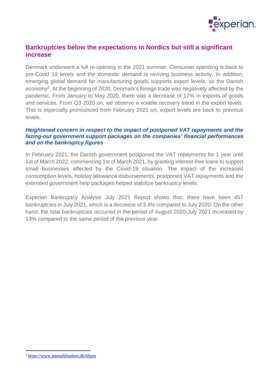

# <span id="page-5-0"></span>**Bankruptcies below the expectations in Nordics but still a significant increase**

Denmark underwent a full re-opening in the 2021 summer. Consumer spending is back to pre-Covid 19 levels and the domestic demand is reviving business activity. In addition, emerging global demand for manufacturing goods supports export levels, so the Danish economy<sup>2</sup>. At the beginning of 2020, Denmark's foreign trade was negatively affected by the pandemic. From January to May 2020, there was a decrease of 17% in exports of goods and services. From Q3 2020 on, we observe a volatile recovery trend in the export levels. This is especially pronounced from February 2021 on, export levels are back to previous levels.

#### *Heightened concern in respect to the impact of postponed VAT repayments and the fazing-out government support packages on the companies' financial performances and on the bankruptcy figures*

In February 2021, the Danish government postponed the VAT repayments for 1 year until 1st of March 2022, commencing 1st of March 2021, by granting interest-free loans to support small businesses affected by the Covid-19 situation. The impact of the increased consumption levels, holiday allowance disbursements, postponed VAT repayments and the extended government help packages helped stabilize bankruptcy levels.

Experian Bankruptcy Analysis July 2021 Report shows that, there have been 457 bankruptcies in July 2021, which is a decrease of 3.4% compared to July 2020. On the other hand, the total bankruptcies occurred in the period of August 2020-July 2021 increased by 13% compared to the same period of the previous year.

<sup>2</sup> <https://www.statistikbanken.dk/bbpm>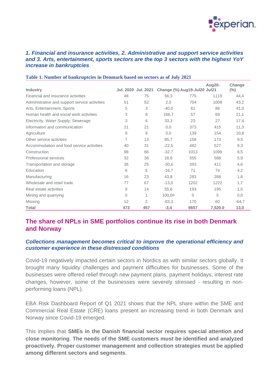

#### *1. Financial and insurance activities, 2. Administrative and support service activities and 3. Arts, entertainment, sports sectors are the top 3 sectors with the highest YoY increase in bankruptcies*

|                                               | Jul. 2020 Jul. 2021 |     |                              |      | Aug20-  | Change  |
|-----------------------------------------------|---------------------|-----|------------------------------|------|---------|---------|
| <b>Industry</b>                               |                     |     | Change (%) Aug19-Jul20 Jul21 |      |         | $(\%)$  |
| Financial and insurance activities            | 48                  | 75  | 56,3                         | 775  | 1119    | 44,4    |
| Administrative and support service activities | 51                  | 52  | 2,0                          | 704  | 1008    | 43,2    |
| Arts, Entertainment, Sports                   | 5                   | 3   | $-40,0$                      | 61   | 86      | 41,0    |
| Human health and social work activities       | 3                   | 8   | 166,7                        | 57   | 69      | 21,1    |
| Electricity, Water Supply; Sewerage           | 3                   | 4   | 33,3                         | 23   | 27      | 17,4    |
| Information and communication                 | 21                  | 21  | 0,0                          | 373  | 415     | 11,3    |
| Agriculture                                   | 9                   | 9   | 0,0                          | 139  | 154     | 10,8    |
| Other service activities                      | 7                   | 13  | 85,7                         | 158  | 173     | 9,5     |
| Accommodation and food service activities     | 40                  | 31  | $-22,5$                      | 482  | 527     | 9,3     |
| Construction                                  | 98                  | 66  | $-32.7$                      | 1013 | 1099    | 8,5     |
| Professional services                         | 32                  | 38  | 18,8                         | 555  | 588     | 5,9     |
| Transportation and storage                    | 36                  | 25  | $-30,6$                      | 393  | 411     | 4,6     |
| Education                                     | 6                   | 5   | $-16.7$                      | 71   | 74      | 4,2     |
| Manufacturing                                 | 16                  | 23  | 43,8                         | 283  | 288     | 1,8     |
| Wholesale and retail trade                    | 77                  | 67  | $-13,0$                      | 1202 | 1222    | 1,7     |
| Real estate activities                        | 9                   | 14  | 55,6                         | 193  | 195     | 1,0     |
| Mining and quarrying                          | $\overline{0}$      | 1   | 100,0x                       | 5    | 5       | 0,0     |
| <b>Missing</b>                                | 12                  | 2   | $-83.3$                      | 170  | 60      | $-64,7$ |
| <b>Total</b>                                  | 473                 | 457 | $-3,4$                       | 6657 | 7,520.0 | 13,0    |

#### **Table 1. Number of bankruptcies in Denmark based on sectors as of July 2021**

# <span id="page-6-0"></span>**The share of NPLs in SME portfolios continue its rise in both Denmark and Norway**

#### *Collections management becomes critical to improve the operational efficiency and customer experience in these distressed conditions*

Covid-19 negatively impacted certain sectors in Nordics as with similar sectors globally. It brought many liquidity challenges and payment difficulties for businesses. Some of the businesses were offered relief through new payment plans, payment holidays, interest rate changes, however, some of the businesses were severely stressed - resulting in nonperforming loans (NPL).

EBA Risk Dashboard Report of Q1 2021 shows that the NPL share within the SME and Commercial Real Estate (CRE) loans present an increasing trend in both Denmark and Norway since Covid-19 emerged.

This implies that **SMEs in the Danish financial sector requires special attention and close monitoring**. **The needs of the SME customers must be identified and analyzed proactively. Proper customer management and collection strategies must be applied among different sectors and segments**.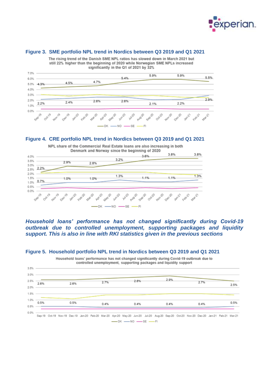

#### **Figure 3. SME portfolio NPL trend in Nordics between Q3 2019 and Q1 2021**



The rising trend of the Danish SME NPL ratios has slowed down in March 2021 but

#### **Figure 4. CRE portfolio NPL trend in Nordics between Q3 2019 and Q1 2021**



*Household loans' performance has not changed significantly during Covid-19 outbreak due to controlled unemployment, supporting packages and liquidity support. This is also in line with RKI statistics given in the previous sections*



**Figure 5. Household portfolio NPL trend in Nordics between Q3 2019 and Q1 2021**

Household loans' performance has not changed significantly during Covid-19 outbreak due to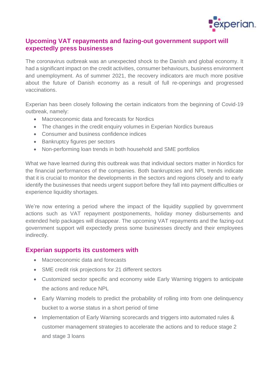

## <span id="page-8-0"></span>**Upcoming VAT repayments and fazing-out government support will expectedly press businesses**

The coronavirus outbreak was an unexpected shock to the Danish and global economy. It had a significant impact on the credit activities, consumer behaviours, business environment and unemployment. As of summer 2021, the recovery indicators are much more positive about the future of Danish economy as a result of full re-openings and progressed vaccinations.

Experian has been closely following the certain indicators from the beginning of Covid-19 outbreak, namely:

- Macroeconomic data and forecasts for Nordics
- The changes in the credit enquiry volumes in Experian Nordics bureaus
- Consumer and business confidence indices
- Bankruptcy figures per sectors
- Non-performing loan trends in both household and SME portfolios

What we have learned during this outbreak was that individual sectors matter in Nordics for the financial performances of the companies. Both bankruptcies and NPL trends indicate that it is crucial to monitor the developments in the sectors and regions closely and to early identify the businesses that needs urgent support before they fall into payment difficulties or experience liquidity shortages.

We're now entering a period where the impact of the liquidity supplied by government actions such as VAT repayment postponements, holiday money disbursements and extended help packages will disappear. The upcoming VAT repayments and the fazing-out government support will expectedly press some businesses directly and their employees indirectly.

## **Experian supports its customers with**

- Macroeconomic data and forecasts
- SME credit risk projections for 21 different sectors
- Customized sector specific and economy wide Early Warning triggers to anticipate the actions and reduce NPL
- Early Warning models to predict the probability of rolling into from one delinguency bucket to a worse status in a short period of time
- Implementation of Early Warning scorecards and triggers into automated rules & customer management strategies to accelerate the actions and to reduce stage 2 and stage 3 loans